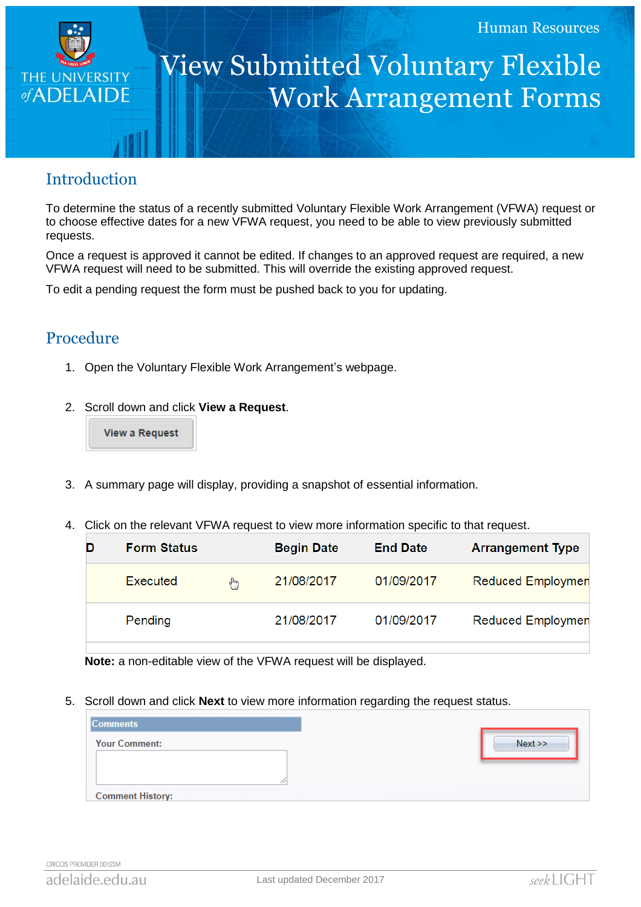

## View Submitted Voluntary Flexible Work Arrangement Forms

## **Introduction**

To determine the status of a recently submitted Voluntary Flexible Work Arrangement (VFWA) request or to choose effective dates for a new VFWA request, you need to be able to view previously submitted requests.

Once a request is approved it cannot be edited. If changes to an approved request are required, a new VFWA request will need to be submitted. This will override the existing approved request.

To edit a pending request the form must be pushed back to you for updating.

## Procedure

- 1. Open the Voluntary Flexible Work Arrangement's webpage.
- 2. Scroll down and click **View a Request**.

**View a Request** 

- 3. A summary page will display, providing a snapshot of essential information.
- 4. Click on the relevant VFWA request to view more information specific to that request.

| D | <b>Form Status</b> |        | <b>Begin Date</b> | <b>End Date</b> | <b>Arrangement Type</b>  |
|---|--------------------|--------|-------------------|-----------------|--------------------------|
|   | Executed           | $4\mu$ | 21/08/2017        | 01/09/2017      | <b>Reduced Employmen</b> |
|   | Pending            |        | 21/08/2017        | 01/09/2017      | Reduced Employmen        |

**Note:** a non-editable view of the VFWA request will be displayed.

5. Scroll down and click **Next** to view more information regarding the request status.

| <b>Comments</b>         |      |
|-------------------------|------|
| <b>Your Comment:</b>    | Next |
|                         |      |
|                         |      |
| <b>Comment History:</b> |      |